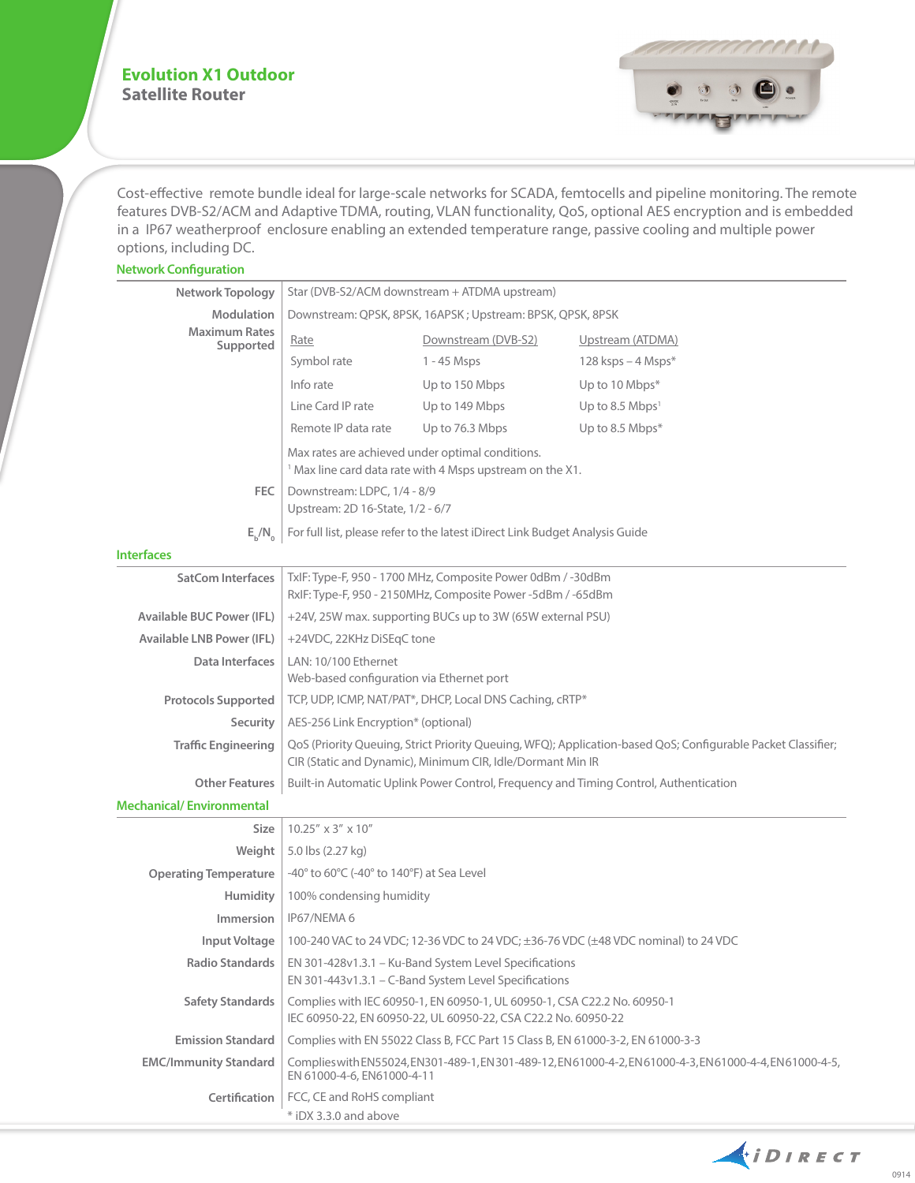## **Evolution X1 Outdoor Satellite Router**



Cost-effective remote bundle ideal for large-scale networks for SCADA, femtocells and pipeline monitoring. The remote features DVB-S2/ACM and Adaptive TDMA, routing, VLAN functionality, QoS, optional AES encryption and is embedded in a IP67 weatherproof enclosure enabling an extended temperature range, passive cooling and multiple power options, including DC.

| <b>Network Configuration</b>      |                                                                                                                                                                            |                     |                             |
|-----------------------------------|----------------------------------------------------------------------------------------------------------------------------------------------------------------------------|---------------------|-----------------------------|
| Network Topology                  | Star (DVB-S2/ACM downstream + ATDMA upstream)                                                                                                                              |                     |                             |
| <b>Modulation</b>                 | Downstream: QPSK, 8PSK, 16APSK; Upstream: BPSK, QPSK, 8PSK                                                                                                                 |                     |                             |
| <b>Maximum Rates</b><br>Supported | Rate                                                                                                                                                                       | Downstream (DVB-S2) | Upstream (ATDMA)            |
|                                   | Symbol rate                                                                                                                                                                | $1 - 45$ Msps       | $128$ ksps $-4$ Msps*       |
|                                   | Info rate                                                                                                                                                                  | Up to 150 Mbps      | Up to 10 Mbps*              |
|                                   | Line Card IP rate                                                                                                                                                          | Up to 149 Mbps      | Up to 8.5 Mbps <sup>1</sup> |
|                                   | Remote IP data rate                                                                                                                                                        | Up to 76.3 Mbps     | Up to 8.5 Mbps*             |
|                                   | Max rates are achieved under optimal conditions.<br><sup>1</sup> Max line card data rate with 4 Msps upstream on the X1.                                                   |                     |                             |
| FEC                               | Downstream: LDPC, 1/4 - 8/9<br>Upstream: 2D 16-State, 1/2 - 6/7                                                                                                            |                     |                             |
| $E_{\mu}/N_{\alpha}$              | For full list, please refer to the latest iDirect Link Budget Analysis Guide                                                                                               |                     |                             |
| <b>Interfaces</b>                 |                                                                                                                                                                            |                     |                             |
| <b>SatCom Interfaces</b>          | TxIF: Type-F, 950 - 1700 MHz, Composite Power 0dBm / -30dBm<br>RxIF: Type-F, 950 - 2150MHz, Composite Power -5dBm / -65dBm                                                 |                     |                             |
| <b>Available BUC Power (IFL)</b>  | +24V, 25W max. supporting BUCs up to 3W (65W external PSU)                                                                                                                 |                     |                             |
| <b>Available LNB Power (IFL)</b>  | +24VDC, 22KHz DiSEqC tone                                                                                                                                                  |                     |                             |
| Data Interfaces                   | LAN: 10/100 Ethernet                                                                                                                                                       |                     |                             |
|                                   | Web-based configuration via Ethernet port                                                                                                                                  |                     |                             |
| <b>Protocols Supported</b>        | TCP, UDP, ICMP, NAT/PAT*, DHCP, Local DNS Caching, cRTP*                                                                                                                   |                     |                             |
| <b>Security</b>                   | AES-256 Link Encryption* (optional)                                                                                                                                        |                     |                             |
| <b>Traffic Engineering</b>        | QoS (Priority Queuing, Strict Priority Queuing, WFQ); Application-based QoS; Configurable Packet Classifier;<br>CIR (Static and Dynamic), Minimum CIR, Idle/Dormant Min IR |                     |                             |
| <b>Other Features</b>             | Built-in Automatic Uplink Power Control, Frequency and Timing Control, Authentication                                                                                      |                     |                             |
| <b>Mechanical/Environmental</b>   |                                                                                                                                                                            |                     |                             |
| <b>Size</b>                       | $10.25'' \times 3'' \times 10''$                                                                                                                                           |                     |                             |
| Weight                            | 5.0 lbs (2.27 kg)                                                                                                                                                          |                     |                             |
| <b>Operating Temperature</b>      | -40° to 60°C (-40° to 140°F) at Sea Level                                                                                                                                  |                     |                             |
| <b>Humidity</b>                   | 100% condensing humidity                                                                                                                                                   |                     |                             |
| <b>Immersion</b>                  | IP67/NEMA 6                                                                                                                                                                |                     |                             |
| Input Voltage                     | 100-240 VAC to 24 VDC; 12-36 VDC to 24 VDC; ±36-76 VDC (±48 VDC nominal) to 24 VDC                                                                                         |                     |                             |
| <b>Radio Standards</b>            | EN 301-428v1.3.1 - Ku-Band System Level Specifications<br>EN 301-443v1.3.1 - C-Band System Level Specifications                                                            |                     |                             |
| <b>Safety Standards</b>           | Complies with IEC 60950-1, EN 60950-1, UL 60950-1, CSA C22.2 No. 60950-1<br>IEC 60950-22, EN 60950-22, UL 60950-22, CSA C22.2 No. 60950-22                                 |                     |                             |
| <b>Emission Standard</b>          | Complies with EN 55022 Class B, FCC Part 15 Class B, EN 61000-3-2, EN 61000-3-3                                                                                            |                     |                             |
| <b>EMC/Immunity Standard</b>      | Complies with EN55024, EN301-489-1, EN301-489-12, EN61000-4-2, EN61000-4-3, EN61000-4-4, EN61000-4-5,<br>EN 61000-4-6, EN61000-4-11                                        |                     |                             |

**Certification** FCC, CE and RoHS compliant

\* iDX 3.3.0 and above